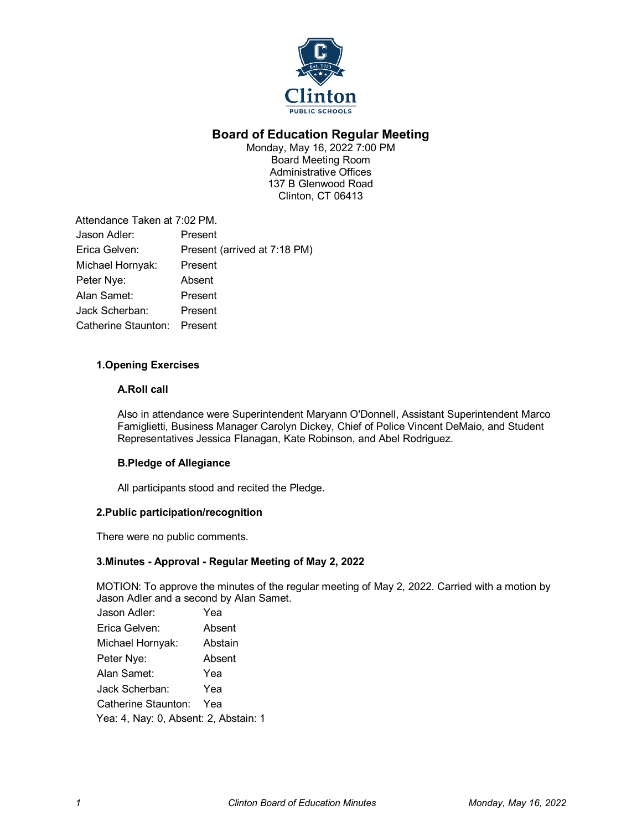

# **Board of Education Regular Meeting**

Monday, May 16, 2022 7:00 PM Board Meeting Room Administrative Offices 137 B Glenwood Road Clinton, CT 06413

| Attendance Taken at 7:02 PM. |
|------------------------------|
| Present                      |
| Present (arrived at 7:18 PM) |
| Present                      |
| Absent                       |
| Present                      |
| Present                      |
| Present                      |
|                              |

# **1.Opening Exercises**

# **A.Roll call**

Also in attendance were Superintendent Maryann O'Donnell, Assistant Superintendent Marco Famiglietti, Business Manager Carolyn Dickey, Chief of Police Vincent DeMaio, and Student Representatives Jessica Flanagan, Kate Robinson, and Abel Rodriguez.

# **B.Pledge of Allegiance**

All participants stood and recited the Pledge.

# **2.Public participation/recognition**

There were no public comments.

# **3.Minutes - Approval - Regular Meeting of May 2, 2022**

MOTION: To approve the minutes of the regular meeting of May 2, 2022. Carried with a motion by Jason Adler and a second by Alan Samet.

| Jason Adler:                          | Yea     |  |
|---------------------------------------|---------|--|
| Erica Gelven:                         | Absent  |  |
| Michael Hornyak:                      | Abstain |  |
| Peter Nye:                            | Absent  |  |
| Alan Samet:                           | Yea     |  |
| Jack Scherban:                        | Yea     |  |
| Catherine Staunton:                   | Yea     |  |
| Yea: 4, Nay: 0, Absent: 2, Abstain: 1 |         |  |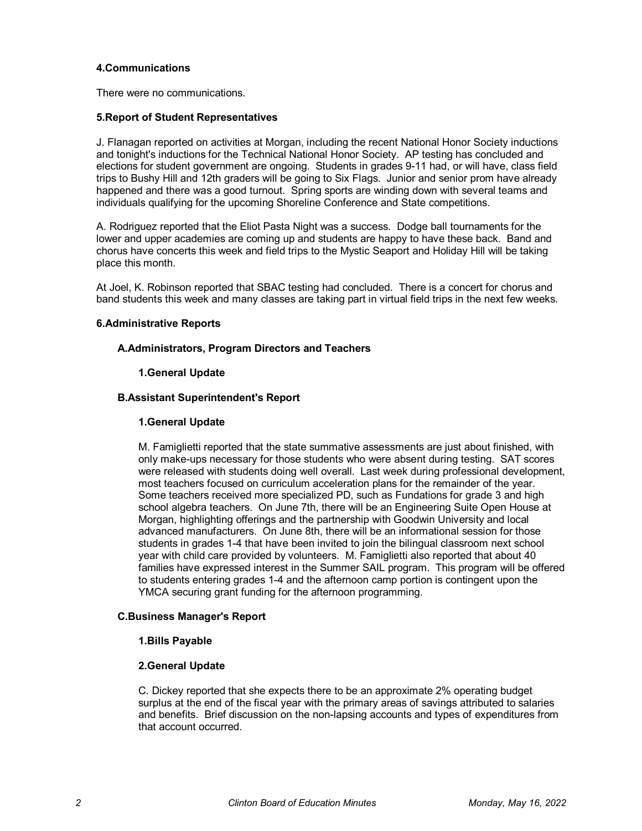#### **4.Communications**

There were no communications.

#### **5.Report of Student Representatives**

J. Flanagan reported on activities at Morgan, including the recent National Honor Society inductions and tonight's inductions for the Technical National Honor Society. AP testing has concluded and elections for student government are ongoing. Students in grades 9-11 had, or will have, class field trips to Bushy Hill and 12th graders will be going to Six Flags. Junior and senior prom have already happened and there was a good turnout. Spring sports are winding down with several teams and individuals qualifying for the upcoming Shoreline Conference and State competitions.

A. Rodriguez reported that the Eliot Pasta Night was a success. Dodge ball tournaments for the lower and upper academies are coming up and students are happy to have these back. Band and chorus have concerts this week and field trips to the Mystic Seaport and Holiday Hill will be taking place this month.

At Joel, K. Robinson reported that SBAC testing had concluded. There is a concert for chorus and band students this week and many classes are taking part in virtual field trips in the next few weeks.

#### **6.Administrative Reports**

#### **A.Administrators, Program Directors and Teachers**

#### **1.General Update**

#### **B.Assistant Superintendent's Report**

#### **1.General Update**

M. Famiglietti reported that the state summative assessments are just about finished, with only make-ups necessary for those students who were absent during testing. SAT scores were released with students doing well overall. Last week during professional development, most teachers focused on curriculum acceleration plans for the remainder of the year. Some teachers received more specialized PD, such as Fundations for grade 3 and high school algebra teachers. On June 7th, there will be an Engineering Suite Open House at Morgan, highlighting offerings and the partnership with Goodwin University and local advanced manufacturers. On June 8th, there will be an informational session for those students in grades 1-4 that have been invited to join the bilingual classroom next school year with child care provided by volunteers. M. Famiglietti also reported that about 40 families have expressed interest in the Summer SAIL program. This program will be offered to students entering grades 1-4 and the afternoon camp portion is contingent upon the YMCA securing grant funding for the afternoon programming.

#### **C.Business Manager's Report**

#### **1.Bills Payable**

# **2.General Update**

C. Dickey reported that she expects there to be an approximate 2% operating budget surplus at the end of the fiscal year with the primary areas of savings attributed to salaries and benefits. Brief discussion on the non-lapsing accounts and types of expenditures from that account occurred.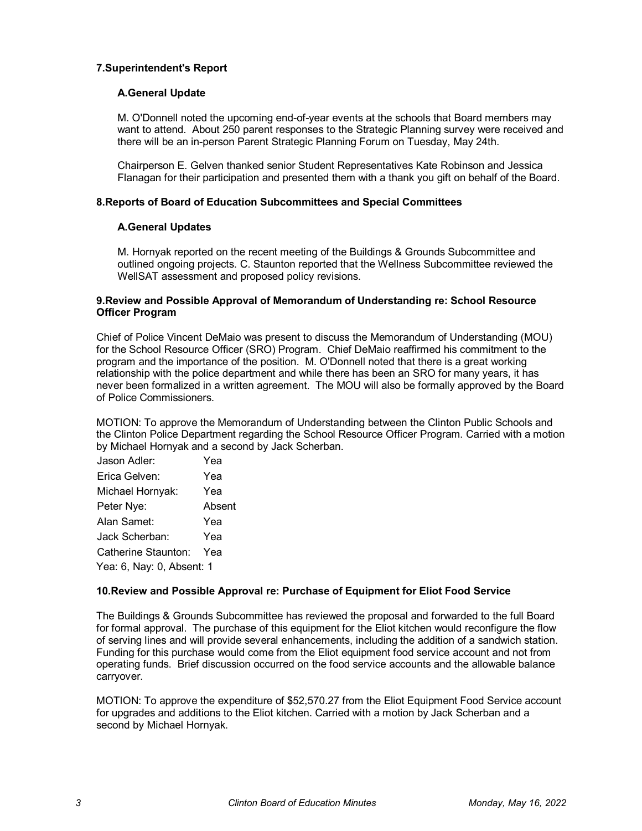### **7.Superintendent's Report**

#### **A.General Update**

M. O'Donnell noted the upcoming end-of-year events at the schools that Board members may want to attend. About 250 parent responses to the Strategic Planning survey were received and there will be an in-person Parent Strategic Planning Forum on Tuesday, May 24th.

Chairperson E. Gelven thanked senior Student Representatives Kate Robinson and Jessica Flanagan for their participation and presented them with a thank you gift on behalf of the Board.

#### **8.Reports of Board of Education Subcommittees and Special Committees**

#### **A.General Updates**

M. Hornyak reported on the recent meeting of the Buildings & Grounds Subcommittee and outlined ongoing projects. C. Staunton reported that the Wellness Subcommittee reviewed the WellSAT assessment and proposed policy revisions.

#### **9.Review and Possible Approval of Memorandum of Understanding re: School Resource Officer Program**

Chief of Police Vincent DeMaio was present to discuss the Memorandum of Understanding (MOU) for the School Resource Officer (SRO) Program. Chief DeMaio reaffirmed his commitment to the program and the importance of the position. M. O'Donnell noted that there is a great working relationship with the police department and while there has been an SRO for many years, it has never been formalized in a written agreement. The MOU will also be formally approved by the Board of Police Commissioners.

MOTION: To approve the Memorandum of Understanding between the Clinton Public Schools and the Clinton Police Department regarding the School Resource Officer Program. Carried with a motion by Michael Hornyak and a second by Jack Scherban.

| Jason Adler:              | Yea    |  |
|---------------------------|--------|--|
| Erica Gelven:             | Yea    |  |
| Michael Hornyak:          | Yea    |  |
| Peter Nye:                | Absent |  |
| Alan Samet:               | Yea    |  |
| Jack Scherban:            | Yea    |  |
| Catherine Staunton:       | Yea    |  |
| Yea: 6, Nay: 0, Absent: 1 |        |  |

# **10.Review and Possible Approval re: Purchase of Equipment for Eliot Food Service**

The Buildings & Grounds Subcommittee has reviewed the proposal and forwarded to the full Board for formal approval. The purchase of this equipment for the Eliot kitchen would reconfigure the flow of serving lines and will provide several enhancements, including the addition of a sandwich station. Funding for this purchase would come from the Eliot equipment food service account and not from operating funds. Brief discussion occurred on the food service accounts and the allowable balance carryover.

MOTION: To approve the expenditure of \$52,570.27 from the Eliot Equipment Food Service account for upgrades and additions to the Eliot kitchen. Carried with a motion by Jack Scherban and a second by Michael Hornyak.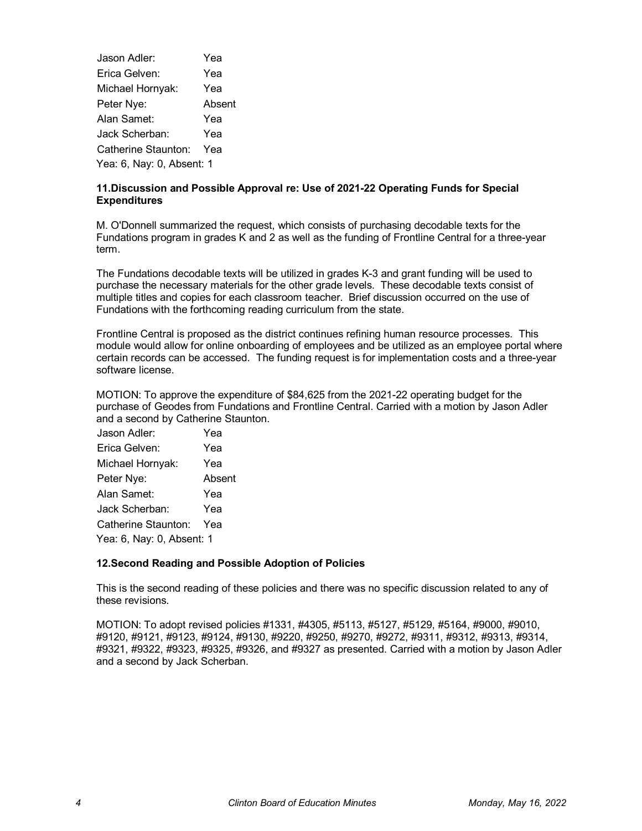Jason Adler: Yea Erica Gelven: Yea Michael Hornyak: Yea Peter Nye: Absent Alan Samet: Yea Jack Scherban: Yea Catherine Staunton: Yea Yea: 6, Nay: 0, Absent: 1

# **11.Discussion and Possible Approval re: Use of 2021-22 Operating Funds for Special Expenditures**

M. O'Donnell summarized the request, which consists of purchasing decodable texts for the Fundations program in grades K and 2 as well as the funding of Frontline Central for a three-year term.

The Fundations decodable texts will be utilized in grades K-3 and grant funding will be used to purchase the necessary materials for the other grade levels. These decodable texts consist of multiple titles and copies for each classroom teacher. Brief discussion occurred on the use of Fundations with the forthcoming reading curriculum from the state.

Frontline Central is proposed as the district continues refining human resource processes. This module would allow for online onboarding of employees and be utilized as an employee portal where certain records can be accessed. The funding request is for implementation costs and a three-year software license.

MOTION: To approve the expenditure of \$84,625 from the 2021-22 operating budget for the purchase of Geodes from Fundations and Frontline Central. Carried with a motion by Jason Adler and a second by Catherine Staunton.

| Jason Adler:              | Yea    |  |
|---------------------------|--------|--|
| Erica Gelven:             | Yea    |  |
| Michael Hornyak:          | Yea    |  |
| Peter Nye:                | Absent |  |
| Alan Samet:               | Yea    |  |
| Jack Scherban:            | Yea    |  |
| Catherine Staunton:       | Yea    |  |
| Yea: 6, Nay: 0, Absent: 1 |        |  |

# **12.Second Reading and Possible Adoption of Policies**

This is the second reading of these policies and there was no specific discussion related to any of these revisions.

MOTION: To adopt revised policies #1331, #4305, #5113, #5127, #5129, #5164, #9000, #9010, #9120, #9121, #9123, #9124, #9130, #9220, #9250, #9270, #9272, #9311, #9312, #9313, #9314, #9321, #9322, #9323, #9325, #9326, and #9327 as presented. Carried with a motion by Jason Adler and a second by Jack Scherban.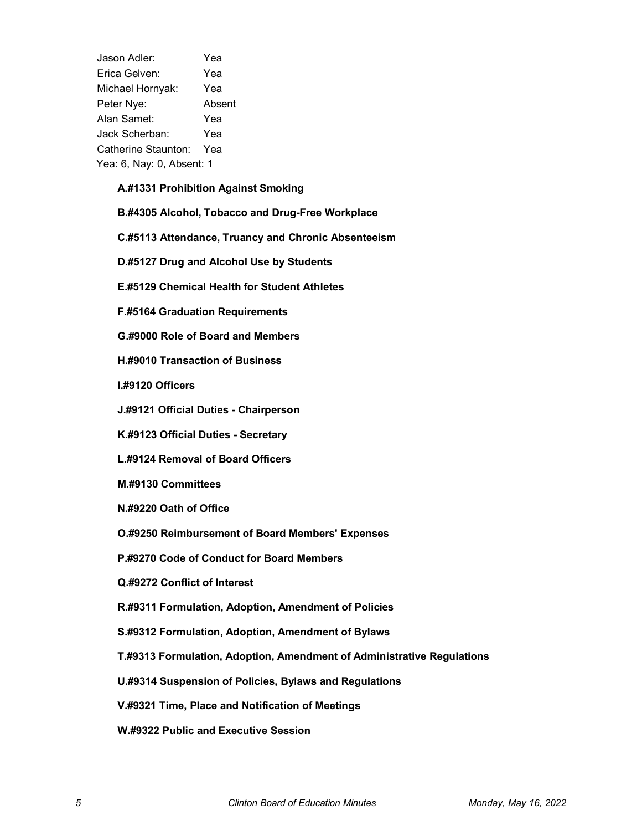Jason Adler: Yea Erica Gelven: Yea Michael Hornyak: Yea Peter Nye: Absent Alan Samet: Yea Jack Scherban: Yea Catherine Staunton: Yea Yea: 6, Nay: 0, Absent: 1

# **A.#1331 Prohibition Against Smoking**

**B.#4305 Alcohol, Tobacco and Drug-Free Workplace**

**C.#5113 Attendance, Truancy and Chronic Absenteeism**

**D.#5127 Drug and Alcohol Use by Students**

**E.#5129 Chemical Health for Student Athletes**

**F.#5164 Graduation Requirements**

**G.#9000 Role of Board and Members**

**H.#9010 Transaction of Business**

**I.#9120 Officers**

**J.#9121 Official Duties - Chairperson**

**K.#9123 Official Duties - Secretary**

**L.#9124 Removal of Board Officers**

**M.#9130 Committees**

**N.#9220 Oath of Office**

**O.#9250 Reimbursement of Board Members' Expenses**

**P.#9270 Code of Conduct for Board Members**

**Q.#9272 Conflict of Interest**

**R.#9311 Formulation, Adoption, Amendment of Policies**

**S.#9312 Formulation, Adoption, Amendment of Bylaws**

**T.#9313 Formulation, Adoption, Amendment of Administrative Regulations**

**U.#9314 Suspension of Policies, Bylaws and Regulations**

**V.#9321 Time, Place and Notification of Meetings**

**W.#9322 Public and Executive Session**